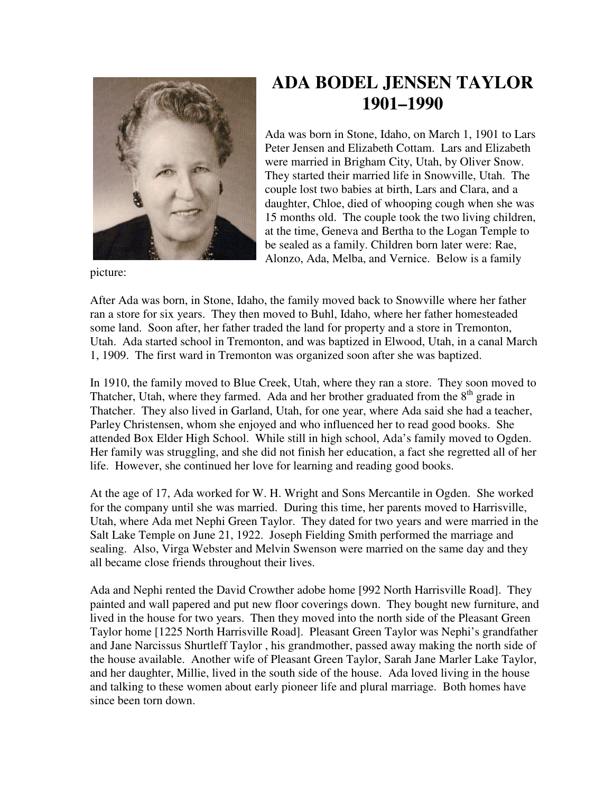

## **ADA BODEL JENSEN TAYLOR 1901–1990**

Ada was born in Stone, Idaho, on March 1, 1901 to Lars Peter Jensen and Elizabeth Cottam. Lars and Elizabeth were married in Brigham City, Utah, by Oliver Snow. They started their married life in Snowville, Utah. The couple lost two babies at birth, Lars and Clara, and a daughter, Chloe, died of whooping cough when she was 15 months old. The couple took the two living children, at the time, Geneva and Bertha to the Logan Temple to be sealed as a family. Children born later were: Rae, Alonzo, Ada, Melba, and Vernice. Below is a family

picture:

After Ada was born, in Stone, Idaho, the family moved back to Snowville where her father ran a store for six years. They then moved to Buhl, Idaho, where her father homesteaded some land. Soon after, her father traded the land for property and a store in Tremonton, Utah. Ada started school in Tremonton, and was baptized in Elwood, Utah, in a canal March 1, 1909. The first ward in Tremonton was organized soon after she was baptized.

In 1910, the family moved to Blue Creek, Utah, where they ran a store. They soon moved to Thatcher, Utah, where they farmed. Ada and her brother graduated from the  $8<sup>th</sup>$  grade in Thatcher. They also lived in Garland, Utah, for one year, where Ada said she had a teacher, Parley Christensen, whom she enjoyed and who influenced her to read good books. She attended Box Elder High School. While still in high school, Ada's family moved to Ogden. Her family was struggling, and she did not finish her education, a fact she regretted all of her life. However, she continued her love for learning and reading good books.

At the age of 17, Ada worked for W. H. Wright and Sons Mercantile in Ogden. She worked for the company until she was married. During this time, her parents moved to Harrisville, Utah, where Ada met Nephi Green Taylor. They dated for two years and were married in the Salt Lake Temple on June 21, 1922. Joseph Fielding Smith performed the marriage and sealing. Also, Virga Webster and Melvin Swenson were married on the same day and they all became close friends throughout their lives.

Ada and Nephi rented the David Crowther adobe home [992 North Harrisville Road]. They painted and wall papered and put new floor coverings down. They bought new furniture, and lived in the house for two years. Then they moved into the north side of the Pleasant Green Taylor home [1225 North Harrisville Road]. Pleasant Green Taylor was Nephi's grandfather and Jane Narcissus Shurtleff Taylor , his grandmother, passed away making the north side of the house available. Another wife of Pleasant Green Taylor, Sarah Jane Marler Lake Taylor, and her daughter, Millie, lived in the south side of the house. Ada loved living in the house and talking to these women about early pioneer life and plural marriage. Both homes have since been torn down.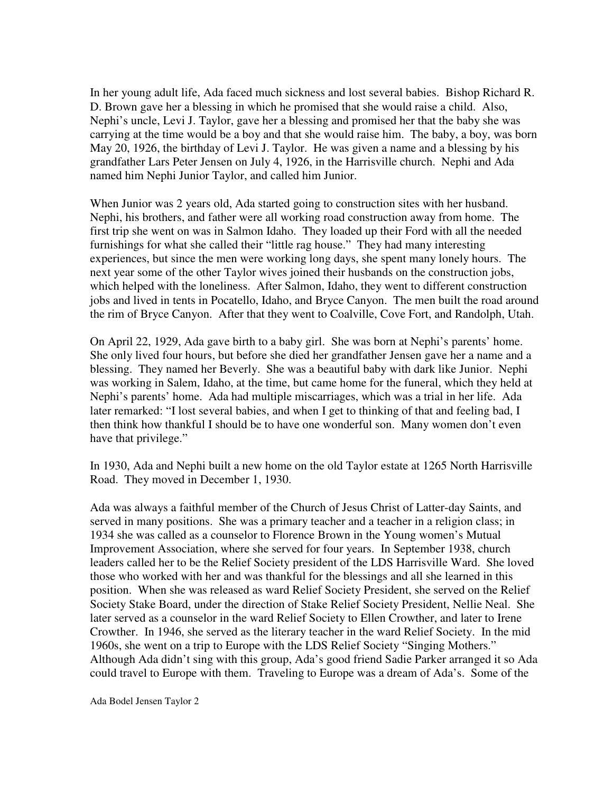In her young adult life, Ada faced much sickness and lost several babies. Bishop Richard R. D. Brown gave her a blessing in which he promised that she would raise a child. Also, Nephi's uncle, Levi J. Taylor, gave her a blessing and promised her that the baby she was carrying at the time would be a boy and that she would raise him. The baby, a boy, was born May 20, 1926, the birthday of Levi J. Taylor. He was given a name and a blessing by his grandfather Lars Peter Jensen on July 4, 1926, in the Harrisville church. Nephi and Ada named him Nephi Junior Taylor, and called him Junior.

When Junior was 2 years old, Ada started going to construction sites with her husband. Nephi, his brothers, and father were all working road construction away from home. The first trip she went on was in Salmon Idaho. They loaded up their Ford with all the needed furnishings for what she called their "little rag house." They had many interesting experiences, but since the men were working long days, she spent many lonely hours. The next year some of the other Taylor wives joined their husbands on the construction jobs, which helped with the loneliness. After Salmon, Idaho, they went to different construction jobs and lived in tents in Pocatello, Idaho, and Bryce Canyon. The men built the road around the rim of Bryce Canyon. After that they went to Coalville, Cove Fort, and Randolph, Utah.

On April 22, 1929, Ada gave birth to a baby girl. She was born at Nephi's parents' home. She only lived four hours, but before she died her grandfather Jensen gave her a name and a blessing. They named her Beverly. She was a beautiful baby with dark like Junior. Nephi was working in Salem, Idaho, at the time, but came home for the funeral, which they held at Nephi's parents' home. Ada had multiple miscarriages, which was a trial in her life. Ada later remarked: "I lost several babies, and when I get to thinking of that and feeling bad, I then think how thankful I should be to have one wonderful son. Many women don't even have that privilege."

In 1930, Ada and Nephi built a new home on the old Taylor estate at 1265 North Harrisville Road. They moved in December 1, 1930.

Ada was always a faithful member of the Church of Jesus Christ of Latter-day Saints, and served in many positions. She was a primary teacher and a teacher in a religion class; in 1934 she was called as a counselor to Florence Brown in the Young women's Mutual Improvement Association, where she served for four years. In September 1938, church leaders called her to be the Relief Society president of the LDS Harrisville Ward. She loved those who worked with her and was thankful for the blessings and all she learned in this position. When she was released as ward Relief Society President, she served on the Relief Society Stake Board, under the direction of Stake Relief Society President, Nellie Neal. She later served as a counselor in the ward Relief Society to Ellen Crowther, and later to Irene Crowther. In 1946, she served as the literary teacher in the ward Relief Society. In the mid 1960s, she went on a trip to Europe with the LDS Relief Society "Singing Mothers." Although Ada didn't sing with this group, Ada's good friend Sadie Parker arranged it so Ada could travel to Europe with them. Traveling to Europe was a dream of Ada's. Some of the

Ada Bodel Jensen Taylor 2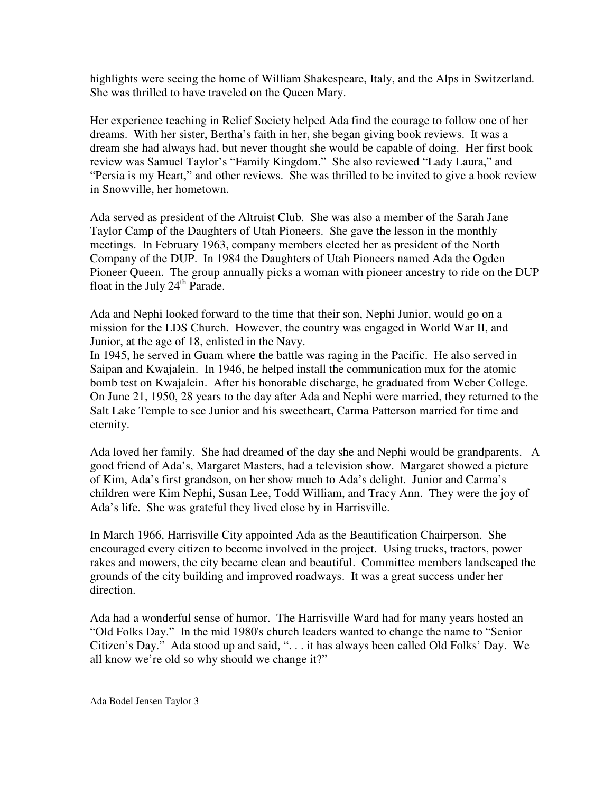highlights were seeing the home of William Shakespeare, Italy, and the Alps in Switzerland. She was thrilled to have traveled on the Queen Mary.

Her experience teaching in Relief Society helped Ada find the courage to follow one of her dreams. With her sister, Bertha's faith in her, she began giving book reviews. It was a dream she had always had, but never thought she would be capable of doing. Her first book review was Samuel Taylor's "Family Kingdom." She also reviewed "Lady Laura," and "Persia is my Heart," and other reviews. She was thrilled to be invited to give a book review in Snowville, her hometown.

Ada served as president of the Altruist Club. She was also a member of the Sarah Jane Taylor Camp of the Daughters of Utah Pioneers. She gave the lesson in the monthly meetings. In February 1963, company members elected her as president of the North Company of the DUP. In 1984 the Daughters of Utah Pioneers named Ada the Ogden Pioneer Queen. The group annually picks a woman with pioneer ancestry to ride on the DUP float in the July  $24<sup>th</sup>$  Parade.

Ada and Nephi looked forward to the time that their son, Nephi Junior, would go on a mission for the LDS Church. However, the country was engaged in World War II, and Junior, at the age of 18, enlisted in the Navy.

In 1945, he served in Guam where the battle was raging in the Pacific. He also served in Saipan and Kwajalein. In 1946, he helped install the communication mux for the atomic bomb test on Kwajalein. After his honorable discharge, he graduated from Weber College. On June 21, 1950, 28 years to the day after Ada and Nephi were married, they returned to the Salt Lake Temple to see Junior and his sweetheart, Carma Patterson married for time and eternity.

Ada loved her family. She had dreamed of the day she and Nephi would be grandparents. A good friend of Ada's, Margaret Masters, had a television show. Margaret showed a picture of Kim, Ada's first grandson, on her show much to Ada's delight. Junior and Carma's children were Kim Nephi, Susan Lee, Todd William, and Tracy Ann. They were the joy of Ada's life. She was grateful they lived close by in Harrisville.

In March 1966, Harrisville City appointed Ada as the Beautification Chairperson. She encouraged every citizen to become involved in the project. Using trucks, tractors, power rakes and mowers, the city became clean and beautiful. Committee members landscaped the grounds of the city building and improved roadways. It was a great success under her direction.

Ada had a wonderful sense of humor. The Harrisville Ward had for many years hosted an "Old Folks Day." In the mid 1980's church leaders wanted to change the name to "Senior Citizen's Day." Ada stood up and said, ". . . it has always been called Old Folks' Day. We all know we're old so why should we change it?"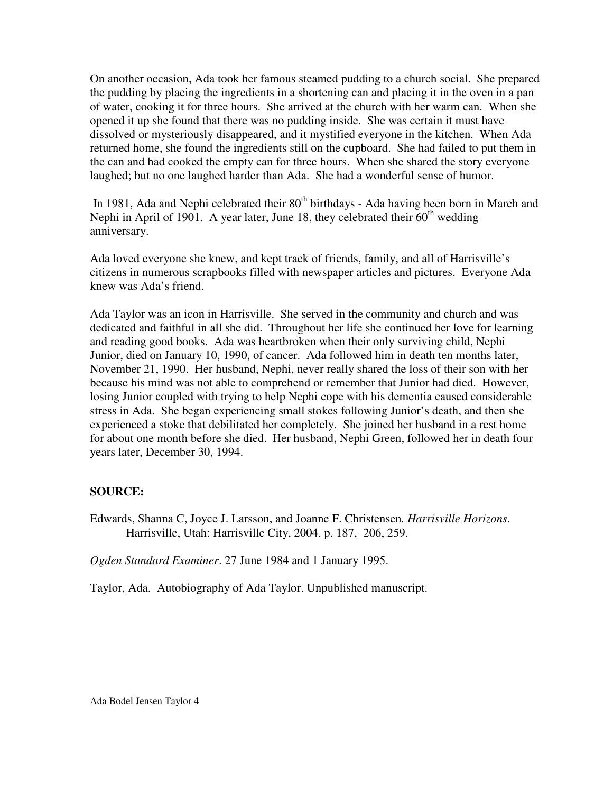On another occasion, Ada took her famous steamed pudding to a church social. She prepared the pudding by placing the ingredients in a shortening can and placing it in the oven in a pan of water, cooking it for three hours. She arrived at the church with her warm can. When she opened it up she found that there was no pudding inside. She was certain it must have dissolved or mysteriously disappeared, and it mystified everyone in the kitchen. When Ada returned home, she found the ingredients still on the cupboard. She had failed to put them in the can and had cooked the empty can for three hours. When she shared the story everyone laughed; but no one laughed harder than Ada. She had a wonderful sense of humor.

In 1981, Ada and Nephi celebrated their 80<sup>th</sup> birthdays - Ada having been born in March and Nephi in April of 1901. A year later, June 18, they celebrated their  $60<sup>th</sup>$  wedding anniversary.

Ada loved everyone she knew, and kept track of friends, family, and all of Harrisville's citizens in numerous scrapbooks filled with newspaper articles and pictures. Everyone Ada knew was Ada's friend.

Ada Taylor was an icon in Harrisville. She served in the community and church and was dedicated and faithful in all she did. Throughout her life she continued her love for learning and reading good books. Ada was heartbroken when their only surviving child, Nephi Junior, died on January 10, 1990, of cancer. Ada followed him in death ten months later, November 21, 1990. Her husband, Nephi, never really shared the loss of their son with her because his mind was not able to comprehend or remember that Junior had died. However, losing Junior coupled with trying to help Nephi cope with his dementia caused considerable stress in Ada. She began experiencing small stokes following Junior's death, and then she experienced a stoke that debilitated her completely. She joined her husband in a rest home for about one month before she died. Her husband, Nephi Green, followed her in death four years later, December 30, 1994.

## **SOURCE:**

Edwards, Shanna C, Joyce J. Larsson, and Joanne F. Christensen*. Harrisville Horizons*. Harrisville, Utah: Harrisville City, 2004. p. 187, 206, 259.

*Ogden Standard Examiner*. 27 June 1984 and 1 January 1995.

Taylor, Ada. Autobiography of Ada Taylor. Unpublished manuscript.